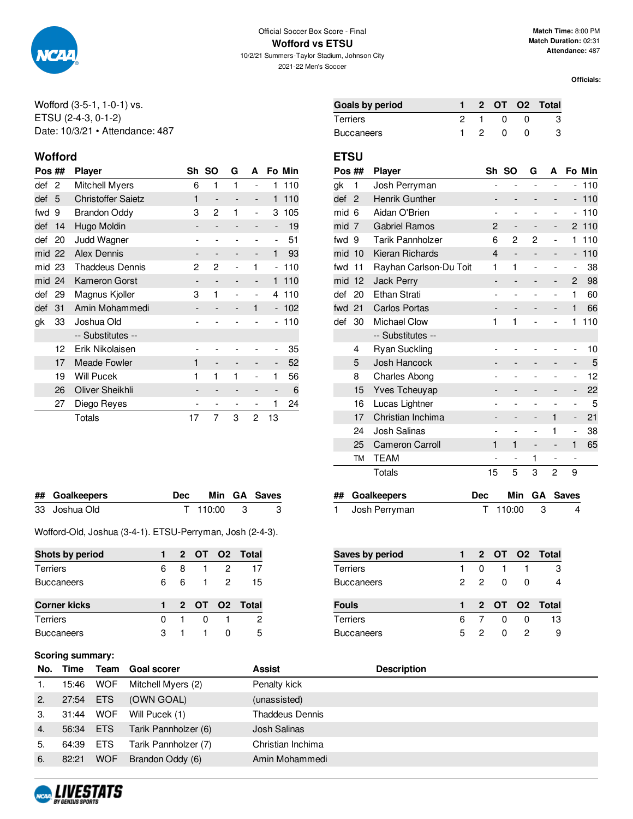

**Wofford vs ETSU**

10/2/21 Summers-Taylor Stadium, Johnson City 2021-22 Men's Soccer

**Officials:**

Wofford (3-5-1, 1-0-1) vs. ETSU (2-4-3, 0-1-2) Date: 10/3/21 • Attendance: 487

### **Wofford ETSU**

| Pos ## |    | <b>Player</b>             | Sh | <b>SO</b>                | G | A                        |                              | Fo Min |
|--------|----|---------------------------|----|--------------------------|---|--------------------------|------------------------------|--------|
| def    | 2  | Mitchell Myers            | 6  | 1                        | 1 |                          | 1                            | 110    |
| def    | 5  | <b>Christoffer Saietz</b> | 1  | $\overline{\phantom{a}}$ |   | $\overline{\phantom{a}}$ | 1                            | 110    |
| fwd    | 9  | <b>Brandon Oddy</b>       | 3  | 2                        | 1 | $\overline{\phantom{0}}$ | 3                            | 105    |
| def    | 14 | Hugo Moldin               |    | $\qquad \qquad -$        |   | -                        | $\qquad \qquad \blacksquare$ | 19     |
| def    | 20 | Judd Wagner               |    | $\overline{a}$           |   |                          | $\overline{\phantom{0}}$     | 51     |
| mid 22 |    | <b>Alex Dennis</b>        |    | $\overline{\phantom{a}}$ |   | -                        | 1                            | 93     |
| mid 23 |    | <b>Thaddeus Dennis</b>    | 2  | 2                        |   | 1                        | $\overline{\phantom{0}}$     | 110    |
| mid    | 24 | Kameron Gorst             | -  | $\overline{\phantom{a}}$ |   | -                        | 1                            | 110    |
| def    | 29 | Magnus Kjoller            | 3  | 1                        |   |                          | 4                            | 110    |
| def    | 31 | Amin Mohammedi            |    | $\overline{\phantom{a}}$ |   | 1                        | $\overline{\phantom{a}}$     | 102    |
| gk     | 33 | Joshua Old                |    |                          |   |                          |                              | 110    |
|        |    | -- Substitutes --         |    |                          |   |                          |                              |        |
|        | 12 | Erik Nikolaisen           |    |                          |   |                          | -                            | 35     |
|        | 17 | <b>Meade Fowler</b>       | 1  |                          |   |                          | -                            | 52     |
|        | 19 | <b>Will Pucek</b>         | 1  | 1                        | 1 |                          | 1                            | 56     |
|        | 26 | Oliver Sheikhli           |    | -                        |   |                          | -                            | 6      |
|        | 27 | Diego Reyes               |    |                          |   |                          | 1                            | 24     |
|        |    | Totals                    | 17 | 7                        | 3 | 2                        | 13                           |        |

| ## Goalkeepers | Dec Min GA Saves |  |
|----------------|------------------|--|
| 33 Joshua Old  | T 110:00 3       |  |

Wofford-Old, Joshua (3-4-1). ETSU-Perryman, Josh (2-4-3).

| Shots by period     |   |   |                |            | 2 OT O2 Total   |
|---------------------|---|---|----------------|------------|-----------------|
| <b>Terriers</b>     | հ | 8 | $\overline{1}$ | 2          | 17              |
| <b>Buccaneers</b>   | 6 | 6 |                | $1\quad 2$ | 15              |
|                     |   |   |                |            |                 |
| <b>Corner kicks</b> |   |   |                |            | 1 2 OT O2 Total |
| <b>Terriers</b>     | 0 |   |                |            | 2               |

## **Scori**

|    | Scoring summary: |            |                           |                        |                    |
|----|------------------|------------|---------------------------|------------------------|--------------------|
|    |                  |            | No. Time Team Goal scorer | <b>Assist</b>          | <b>Description</b> |
| 1. | 15:46            | WOF        | Mitchell Myers (2)        | Penalty kick           |                    |
| 2. | 27:54 ETS        |            | (OWN GOAL)                | (unassisted)           |                    |
| 3. | 31:44            | WOF        | Will Pucek (1)            | <b>Thaddeus Dennis</b> |                    |
| 4. | 56:34 ETS        |            | Tarik Pannholzer (6)      | Josh Salinas           |                    |
| 5. | 64:39 ETS        |            | Tarik Pannholzer (7)      | Christian Inchima      |                    |
|    | 82:21            | <b>WOF</b> | Brandon Oddy (6)          | Amin Mohammedi         |                    |



| Goals by period |  |          | 1 2 OT O2 Total |
|-----------------|--|----------|-----------------|
| Terriers        |  | $\Omega$ |                 |
| Buccaneers      |  | - 0      |                 |

| Pos ## |                | <b>Player</b>           |                          | Sh SO                    | G                            | A                        |                          | Fo Min |
|--------|----------------|-------------------------|--------------------------|--------------------------|------------------------------|--------------------------|--------------------------|--------|
| gk     | 1              | Josh Perryman           | $\overline{a}$           | $\overline{a}$           | $\overline{\phantom{a}}$     | $\overline{a}$           | $\overline{\phantom{0}}$ | 110    |
| def    | $\overline{2}$ | <b>Henrik Gunther</b>   |                          | -                        |                              | -                        | $\overline{\phantom{0}}$ | 110    |
| mid    | 6              | Aidan O'Brien           |                          | -                        |                              | -                        |                          | 110    |
| mid    | 7              | <b>Gabriel Ramos</b>    | $\mathbf{2}$             | -                        |                              | -                        | 2                        | 110    |
| fwd    | 9              | <b>Tarik Pannholzer</b> | 6                        | 2                        | 2                            | $\overline{\phantom{0}}$ | 1                        | 110    |
| mid    | 10             | Kieran Richards         | 4                        | -                        |                              |                          | $\overline{a}$           | 110    |
| fwd    | 11             | Rayhan Carlson-Du Toit  | 1                        | 1                        | $\overline{a}$               | $\overline{a}$           | $\overline{a}$           | 38     |
| mid    | 12             | <b>Jack Perry</b>       |                          |                          |                              | -                        | 2                        | 98     |
| def    | 20             | <b>Ethan Strati</b>     |                          |                          |                              |                          | 1                        | 60     |
| fwd    | 21             | <b>Carlos Portas</b>    |                          |                          |                              | -                        | $\mathbf{1}$             | 66     |
| def    | 30             | <b>Michael Clow</b>     | 1                        | 1                        |                              |                          | 1                        | 110    |
|        |                | -- Substitutes --       |                          |                          |                              |                          |                          |        |
|        | 4              | <b>Ryan Suckling</b>    |                          |                          |                              |                          |                          | 10     |
|        | 5              | Josh Hancock            |                          | -                        |                              | -                        | -                        | 5      |
|        | 8              | <b>Charles Abong</b>    |                          |                          |                              | $\overline{a}$           | -                        | 12     |
|        | 15             | Yves Tcheuyap           |                          | -                        |                              | -                        | -                        | 22     |
|        | 16             | Lucas Lightner          |                          | $\overline{a}$           | $\overline{a}$               | $\overline{a}$           | $\overline{\phantom{0}}$ | 5      |
|        | 17             | Christian Inchima       |                          | -                        | -                            | 1                        | -                        | 21     |
|        | 24             | <b>Josh Salinas</b>     |                          | $\overline{a}$           | ۰                            | 1                        | -                        | 38     |
|        | 25             | <b>Cameron Carroll</b>  | 1                        | 1                        | $\qquad \qquad \blacksquare$ | -                        | 1                        | 65     |
|        | ТM             | <b>TEAM</b>             | $\overline{\phantom{a}}$ | $\overline{\phantom{a}}$ | 1                            | $\overline{\phantom{0}}$ | $\overline{\phantom{a}}$ |        |
|        |                | <b>Totals</b>           | 15                       | 5                        | 3                            | $\overline{c}$           | 9                        |        |
| ##     |                | Coalkoonare             | D۵c                      | Min                      | GΛ                           |                          | <b>Cover</b>             |        |

| ## Goalkeepers  | Dec |            | Min GA Saves |
|-----------------|-----|------------|--------------|
| 1 Josh Perryman |     | T 110:00 3 |              |

| <b>Saves by period</b> |   |              |              |              | 2 OT O2 Total |
|------------------------|---|--------------|--------------|--------------|---------------|
| <b>Terriers</b>        |   | <sup>0</sup> |              |              | З             |
| <b>Buccaneers</b>      |   | 22           | <sup>0</sup> | <sup>0</sup> |               |
| <b>Fouls</b>           |   |              |              |              | 2 OT O2 Total |
|                        |   |              |              |              |               |
| <b>Terriers</b>        | 6 |              | O            |              | 13            |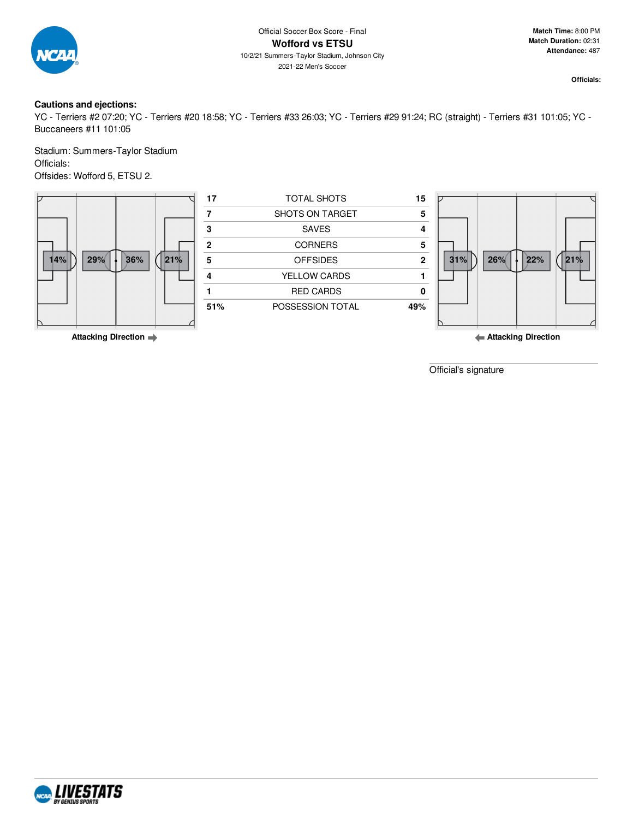

### **Cautions and ejections:**

YC - Terriers #2 07:20; YC - Terriers #20 18:58; YC - Terriers #33 26:03; YC - Terriers #29 91:24; RC (straight) - Terriers #31 101:05; YC - Buccaneers #11 101:05

Stadium: Summers-Taylor Stadium Officials: Offsides: Wofford 5, ETSU 2.



**Attacking Direction**

**Attacking Direction**

Official's signature

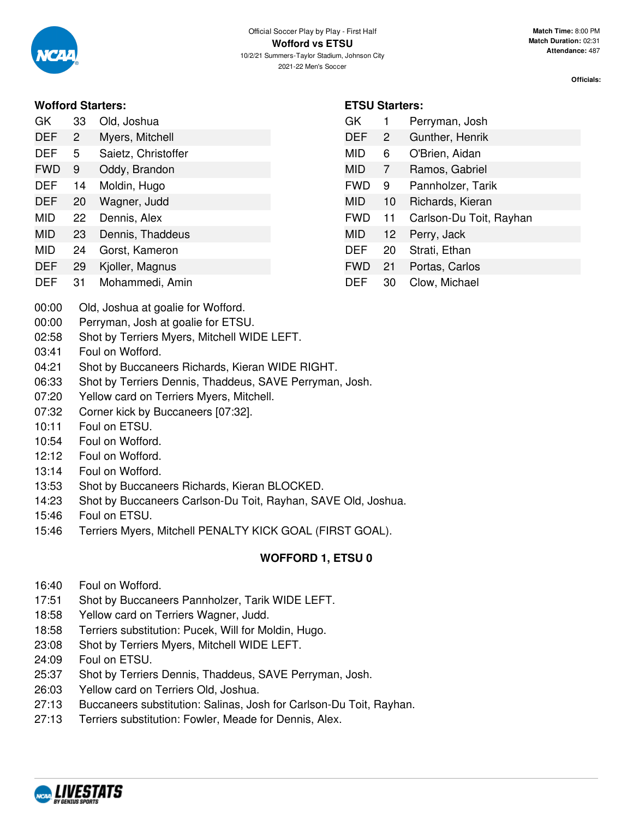### **Wofford Starters:**

- GK 33 Old, Joshua DEF 2 Myers, Mitchell
- DEF 5 Saietz, Christoffer
- FWD 9 Oddy, Brandon
- DEF 14 Moldin, Hugo
- DEF 20 Wagner, Judd
- MID 22 Dennis, Alex
- MID 23 Dennis, Thaddeus
- MID 24 Gorst, Kameron
- DEF 29 Kjoller, Magnus
- DEF 31 Mohammedi, Amin
- **ETSU Starters:**
- GK 1 Perryman, Josh DEF 2 Gunther, Henrik MID 6 O'Brien, Aidan MID 7 Ramos, Gabriel FWD 9 Pannholzer, Tarik MID 10 Richards, Kieran FWD 11 Carlson-Du Toit, Rayhan MID 12 Perry, Jack DEF 20 Strati, Ethan FWD 21 Portas, Carlos DEF 30 Clow, Michael

- 00:00 Old, Joshua at goalie for Wofford.
- 00:00 Perryman, Josh at goalie for ETSU.
- 02:58 Shot by Terriers Myers, Mitchell WIDE LEFT.
- 03:41 Foul on Wofford.
- 04:21 Shot by Buccaneers Richards, Kieran WIDE RIGHT.
- 06:33 Shot by Terriers Dennis, Thaddeus, SAVE Perryman, Josh.
- 07:20 Yellow card on Terriers Myers, Mitchell.
- 07:32 Corner kick by Buccaneers [07:32].
- 10:11 Foul on ETSU.
- 10:54 Foul on Wofford.
- 12:12 Foul on Wofford.
- 13:14 Foul on Wofford.
- 13:53 Shot by Buccaneers Richards, Kieran BLOCKED.
- 14:23 Shot by Buccaneers Carlson-Du Toit, Rayhan, SAVE Old, Joshua.
- 15:46 Foul on ETSU.
- 15:46 Terriers Myers, Mitchell PENALTY KICK GOAL (FIRST GOAL).

# **WOFFORD 1, ETSU 0**

- 16:40 Foul on Wofford.
- 17:51 Shot by Buccaneers Pannholzer, Tarik WIDE LEFT.
- 18:58 Yellow card on Terriers Wagner, Judd.
- 18:58 Terriers substitution: Pucek, Will for Moldin, Hugo.
- 23:08 Shot by Terriers Myers, Mitchell WIDE LEFT.
- 24:09 Foul on ETSU.
- 25:37 Shot by Terriers Dennis, Thaddeus, SAVE Perryman, Josh.
- 26:03 Yellow card on Terriers Old, Joshua.
- 27:13 Buccaneers substitution: Salinas, Josh for Carlson-Du Toit, Rayhan.
- 27:13 Terriers substitution: Fowler, Meade for Dennis, Alex.

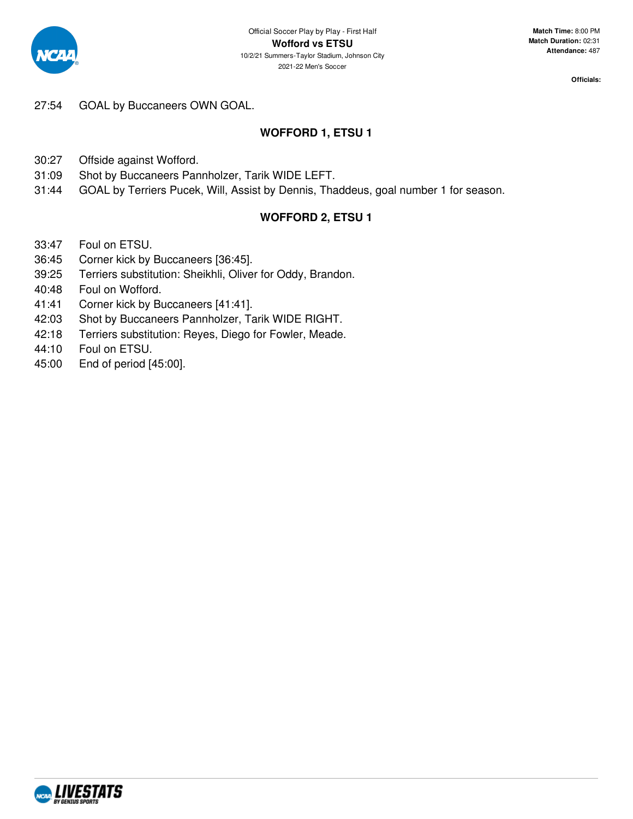

27:54 GOAL by Buccaneers OWN GOAL.

### **WOFFORD 1, ETSU 1**

30:27 Offside against Wofford.

- 31:09 Shot by Buccaneers Pannholzer, Tarik WIDE LEFT.
- 31:44 GOAL by Terriers Pucek, Will, Assist by Dennis, Thaddeus, goal number 1 for season.

### **WOFFORD 2, ETSU 1**

- 33:47 Foul on ETSU.
- 36:45 Corner kick by Buccaneers [36:45].
- 39:25 Terriers substitution: Sheikhli, Oliver for Oddy, Brandon.
- 40:48 Foul on Wofford.
- 41:41 Corner kick by Buccaneers [41:41].
- 42:03 Shot by Buccaneers Pannholzer, Tarik WIDE RIGHT.
- 42:18 Terriers substitution: Reyes, Diego for Fowler, Meade.
- 44:10 Foul on ETSU.
- 45:00 End of period [45:00].

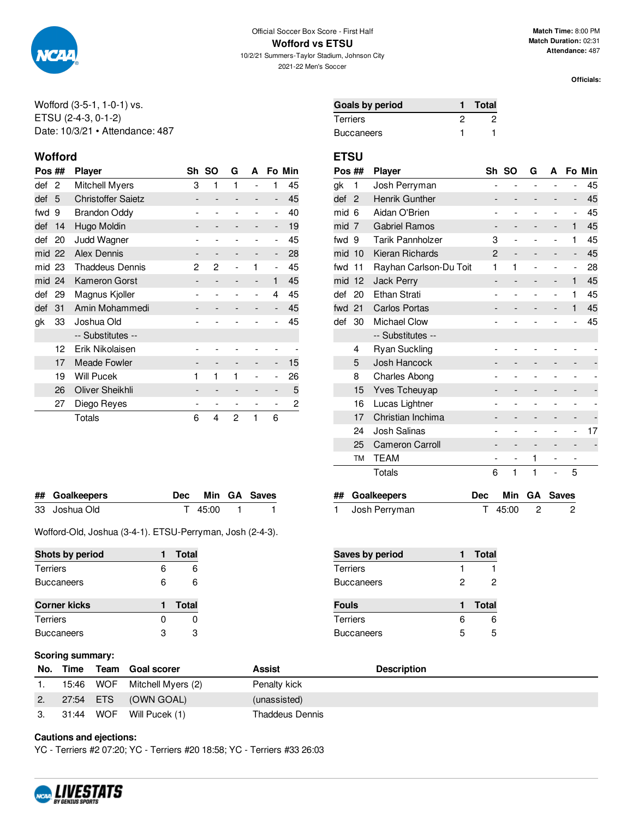

10/2/21 Summers-Taylor Stadium, Johnson City 2021-22 Men's Soccer

**Match Time:** 8:00 PM **Match Duration:** 02:31 **Attendance:** 487

**Officials:**

Wofford (3-5-1, 1-0-1) vs. ETSU (2-4-3, 0-1-2) Date: 10/3/21 • Attendance: 487

### **Wofford ETSU**

| Pos ## |    | Player                    | Sh | <b>SO</b>                    | G | A              |                              | Fo Min |
|--------|----|---------------------------|----|------------------------------|---|----------------|------------------------------|--------|
| def    | 2  | Mitchell Myers            | 3  | 1                            | 1 |                | 1                            | 45     |
| def    | 5  | <b>Christoffer Saietz</b> |    | $\qquad \qquad \blacksquare$ |   | -              | $\qquad \qquad \blacksquare$ | 45     |
| fwd    | 9  | <b>Brandon Oddy</b>       |    |                              |   |                | $\overline{\phantom{0}}$     | 40     |
| def    | 14 | Hugo Moldin               |    | -                            |   | -              | $\qquad \qquad \blacksquare$ | 19     |
| def    | 20 | Judd Wagner               |    |                              |   |                | $\overline{\phantom{a}}$     | 45     |
| mid 22 |    | <b>Alex Dennis</b>        |    | $\overline{\phantom{a}}$     |   |                | $\qquad \qquad \blacksquare$ | 28     |
| mid 23 |    | <b>Thaddeus Dennis</b>    | 2  | 2                            |   | 1              | $\overline{\phantom{0}}$     | 45     |
| mid 24 |    | <b>Kameron Gorst</b>      |    | $\overline{\phantom{a}}$     |   | $\overline{a}$ | 1                            | 45     |
| def    | 29 | Magnus Kjoller            |    |                              |   | $\overline{a}$ | 4                            | 45     |
| def    | 31 | Amin Mohammedi            |    |                              |   |                | $\qquad \qquad \blacksquare$ | 45     |
| gk     | 33 | Joshua Old                |    |                              |   |                | $\overline{a}$               | 45     |
|        |    | -- Substitutes --         |    |                              |   |                |                              |        |
|        | 12 | Erik Nikolaisen           |    |                              |   |                |                              |        |
|        | 17 | <b>Meade Fowler</b>       |    |                              |   |                | $\qquad \qquad \blacksquare$ | 15     |
|        | 19 | <b>Will Pucek</b>         | 1  | 1                            | 1 | $\overline{a}$ | $\overline{a}$               | 26     |
|        | 26 | Oliver Sheikhli           |    | $\qquad \qquad \blacksquare$ |   |                | -                            | 5      |
|        | 27 | Diego Reyes               |    | $\qquad \qquad \blacksquare$ |   |                | -                            | 2      |
|        |    | <b>Totals</b>             | 6  | 4                            | 2 | 1              | 6                            |        |

| ## Goalkeepers |         | Dec Min GA Saves |
|----------------|---------|------------------|
| 33 Joshua Old  | T 45:00 |                  |

Wofford-Old, Joshua (3-4-1). ETSU-Perryman, Josh (2-4-3).

| Shots by period     |   | Total        |
|---------------------|---|--------------|
| Terriers            | 6 | 6            |
| <b>Buccaneers</b>   | 6 | 6            |
|                     |   |              |
| <b>Corner kicks</b> |   | <b>Total</b> |
|                     |   |              |
| Terriers            | O | 0            |

| Goals by period | <b>Total</b> |
|-----------------|--------------|
| Terriers        |              |
| Buccaneers      |              |

| Pos ##            | <b>Player</b>          | Sh             |                          | G              | A              |                          | Fo Min |
|-------------------|------------------------|----------------|--------------------------|----------------|----------------|--------------------------|--------|
| 1                 | Josh Perryman          | $\overline{a}$ | $\overline{a}$           | $\overline{a}$ | $\overline{a}$ | -                        | 45     |
| $\overline{2}$    | Henrik Gunther         |                |                          |                |                | -                        | 45     |
| 6                 | Aidan O'Brien          |                |                          |                |                | $\overline{a}$           | 45     |
| 7                 | <b>Gabriel Ramos</b>   |                |                          |                | -              | 1                        | 45     |
| 9                 | Tarik Pannholzer       | 3              |                          |                |                | 1                        | 45     |
| 10                | Kieran Richards        | 2              | $\overline{\phantom{0}}$ |                | -              | -                        | 45     |
| 11                | Rayhan Carlson-Du Toit | 1              | 1                        | ۳              | $\overline{a}$ | $\overline{a}$           | 28     |
| 12                | <b>Jack Perry</b>      | -              |                          |                | -              | 1                        | 45     |
| 20                | Ethan Strati           |                |                          |                | $\overline{a}$ | 1                        | 45     |
| 21                | <b>Carlos Portas</b>   | -              |                          |                | -              | 1                        | 45     |
| 30                | <b>Michael Clow</b>    |                |                          |                |                | $\overline{\phantom{a}}$ | 45     |
| -- Substitutes -- |                        |                |                          |                |                |                          |        |
| 4                 | <b>Ryan Suckling</b>   |                |                          |                |                |                          |        |
| 5                 | Josh Hancock           |                |                          |                |                |                          |        |
| 8                 | Charles Abong          |                |                          |                |                |                          |        |
| 15                | Yves Tcheuyap          |                |                          |                |                |                          |        |
| 16                | Lucas Lightner         |                |                          |                |                |                          |        |
| 17                | Christian Inchima      |                |                          |                |                |                          |        |
| 24                | Josh Salinas           |                |                          |                |                | -                        | 17     |
| 25                | <b>Cameron Carroll</b> |                |                          |                |                |                          |        |
| TM                | TEAM                   | $\overline{a}$ |                          | 1              | -              |                          |        |
|                   | Totals                 | 6              | 1                        | 1              | -              | 5                        |        |
|                   |                        |                |                          | -SO            |                |                          |        |

| ## Goalkeepers  |             | Dec Min GA Saves |
|-----------------|-------------|------------------|
| 1 Josh Perryman | $T$ 45:00 2 | $\overline{2}$   |

| Saves by period   |   | <b>Total</b> |
|-------------------|---|--------------|
| <b>Terriers</b>   |   |              |
| <b>Buccaneers</b> | 2 | 2            |
| <b>Fouls</b>      |   | <b>Total</b> |
| <b>Terriers</b>   | 6 | 6            |
| <b>Buccaneers</b> | 5 | 5            |

### **Scoring summary:**

| No. | Time      | Team Goal scorer   | Assist          | <b>Description</b> |
|-----|-----------|--------------------|-----------------|--------------------|
|     | 15:46 WOF | Mitchell Myers (2) | Penalty kick    |                    |
|     | 27:54 ETS | (OWN GOAL)         | (unassisted)    |                    |
|     | 31:44 WOF | Will Pucek (1)     | Thaddeus Dennis |                    |

**Cautions and ejections:**

YC - Terriers #2 07:20; YC - Terriers #20 18:58; YC - Terriers #33 26:03

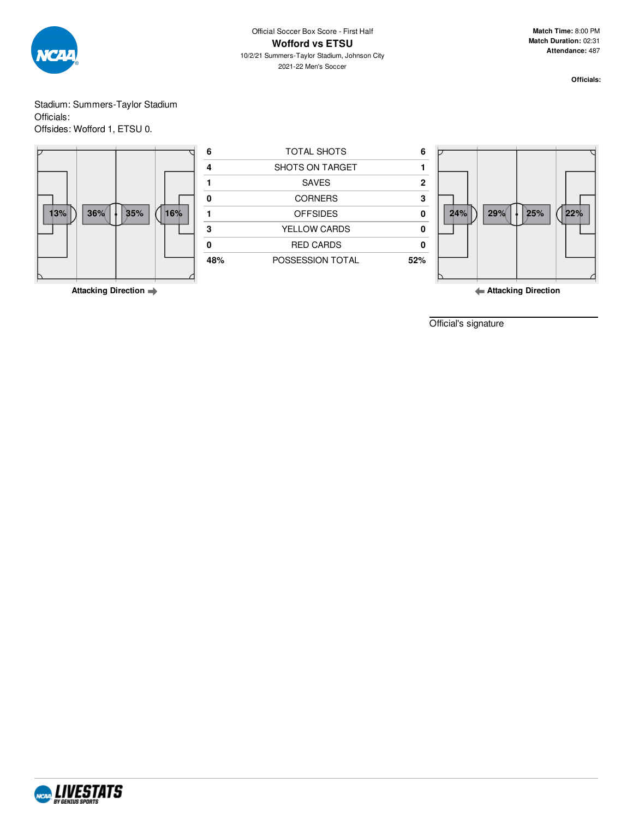

Stadium: Summers-Taylor Stadium Officials: Offsides: Wofford 1, ETSU 0.



Official's signature

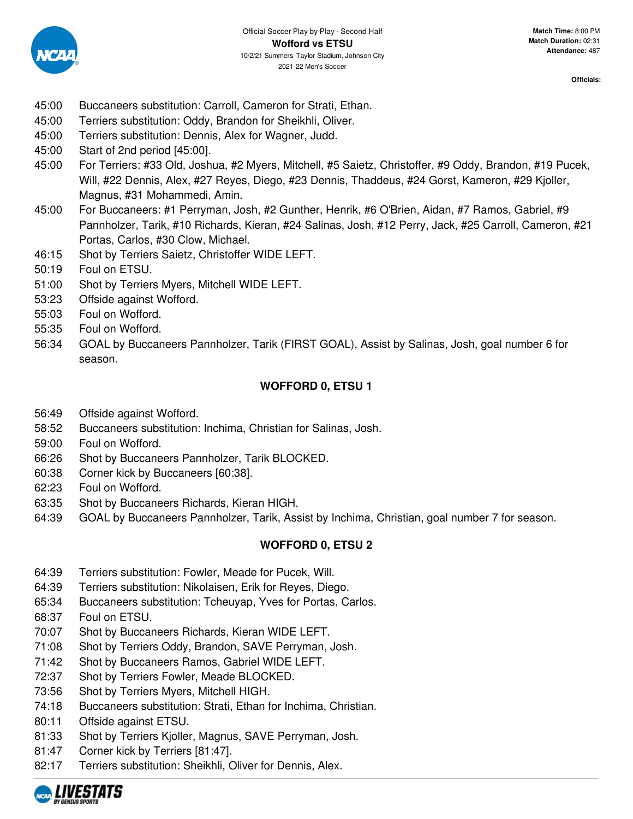

- 45:00 Buccaneers substitution: Carroll, Cameron for Strati, Ethan.
- 45:00 Terriers substitution: Oddy, Brandon for Sheikhli, Oliver.
- 45:00 Terriers substitution: Dennis, Alex for Wagner, Judd.
- 45:00 Start of 2nd period [45:00].
- 45:00 For Terriers: #33 Old, Joshua, #2 Myers, Mitchell, #5 Saietz, Christoffer, #9 Oddy, Brandon, #19 Pucek, Will, #22 Dennis, Alex, #27 Reyes, Diego, #23 Dennis, Thaddeus, #24 Gorst, Kameron, #29 Kjoller, Magnus, #31 Mohammedi, Amin.
- 45:00 For Buccaneers: #1 Perryman, Josh, #2 Gunther, Henrik, #6 O'Brien, Aidan, #7 Ramos, Gabriel, #9 Pannholzer, Tarik, #10 Richards, Kieran, #24 Salinas, Josh, #12 Perry, Jack, #25 Carroll, Cameron, #21 Portas, Carlos, #30 Clow, Michael.
- 46:15 Shot by Terriers Saietz, Christoffer WIDE LEFT.
- 50:19 Foul on ETSU.
- 51:00 Shot by Terriers Myers, Mitchell WIDE LEFT.
- 53:23 Offside against Wofford.
- 55:03 Foul on Wofford.
- 55:35 Foul on Wofford.
- 56:34 GOAL by Buccaneers Pannholzer, Tarik (FIRST GOAL), Assist by Salinas, Josh, goal number 6 for season.

## **WOFFORD 0, ETSU 1**

- 56:49 Offside against Wofford.
- 58:52 Buccaneers substitution: Inchima, Christian for Salinas, Josh.
- 59:00 Foul on Wofford.
- 66:26 Shot by Buccaneers Pannholzer, Tarik BLOCKED.
- 60:38 Corner kick by Buccaneers [60:38].
- 62:23 Foul on Wofford.
- 63:35 Shot by Buccaneers Richards, Kieran HIGH.
- 64:39 GOAL by Buccaneers Pannholzer, Tarik, Assist by Inchima, Christian, goal number 7 for season.

### **WOFFORD 0, ETSU 2**

- 64:39 Terriers substitution: Fowler, Meade for Pucek, Will.
- 64:39 Terriers substitution: Nikolaisen, Erik for Reyes, Diego.
- 65:34 Buccaneers substitution: Tcheuyap, Yves for Portas, Carlos.
- 68:37 Foul on ETSU.
- 70:07 Shot by Buccaneers Richards, Kieran WIDE LEFT.
- 71:08 Shot by Terriers Oddy, Brandon, SAVE Perryman, Josh.
- 71:42 Shot by Buccaneers Ramos, Gabriel WIDE LEFT.
- 72:37 Shot by Terriers Fowler, Meade BLOCKED.
- 73:56 Shot by Terriers Myers, Mitchell HIGH.
- 74:18 Buccaneers substitution: Strati, Ethan for Inchima, Christian.
- 80:11 Offside against ETSU.
- 81:33 Shot by Terriers Kjoller, Magnus, SAVE Perryman, Josh.
- 81:47 Corner kick by Terriers [81:47].
- 82:17 Terriers substitution: Sheikhli, Oliver for Dennis, Alex.

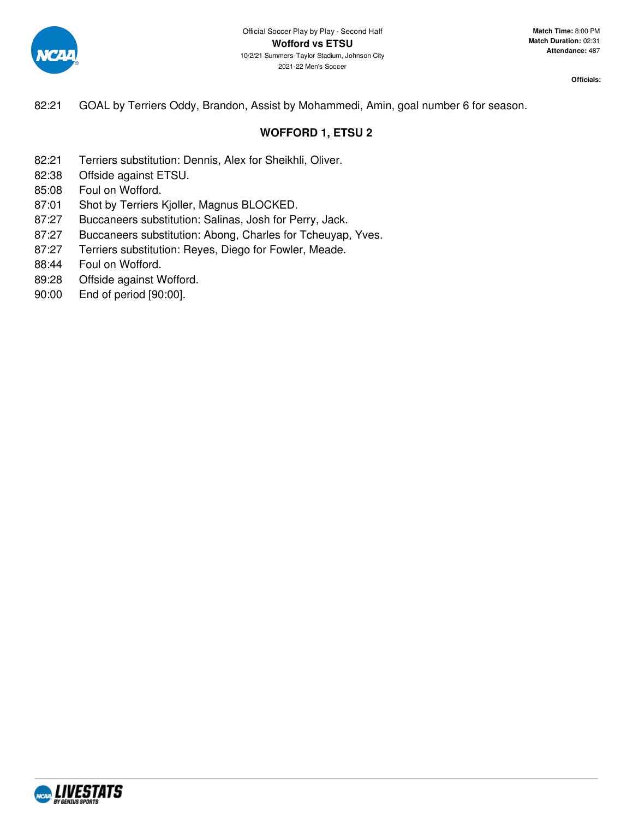

82:21 GOAL by Terriers Oddy, Brandon, Assist by Mohammedi, Amin, goal number 6 for season.

### **WOFFORD 1, ETSU 2**

- 82:21 Terriers substitution: Dennis, Alex for Sheikhli, Oliver.
- 82:38 Offside against ETSU.
- 85:08 Foul on Wofford.
- 87:01 Shot by Terriers Kjoller, Magnus BLOCKED.
- 87:27 Buccaneers substitution: Salinas, Josh for Perry, Jack.
- 87:27 Buccaneers substitution: Abong, Charles for Tcheuyap, Yves.
- 87:27 Terriers substitution: Reyes, Diego for Fowler, Meade.
- 88:44 Foul on Wofford.
- 89:28 Offside against Wofford.
- 90:00 End of period [90:00].

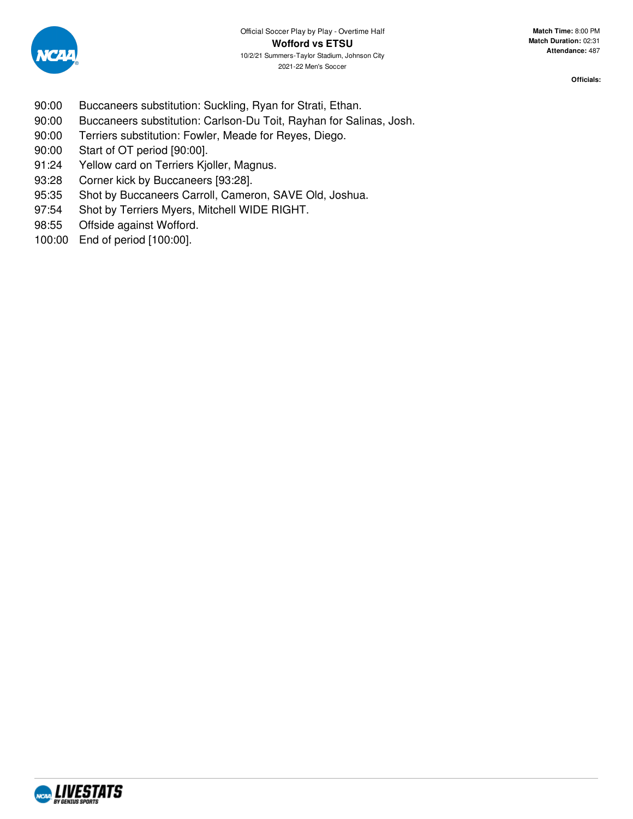

- 90:00 Buccaneers substitution: Suckling, Ryan for Strati, Ethan.
- 90:00 Buccaneers substitution: Carlson-Du Toit, Rayhan for Salinas, Josh.
- 90:00 Terriers substitution: Fowler, Meade for Reyes, Diego.
- 90:00 Start of OT period [90:00].
- 91:24 Yellow card on Terriers Kjoller, Magnus.
- 93:28 Corner kick by Buccaneers [93:28].
- 95:35 Shot by Buccaneers Carroll, Cameron, SAVE Old, Joshua.
- 97:54 Shot by Terriers Myers, Mitchell WIDE RIGHT.
- 98:55 Offside against Wofford.
- 100:00 End of period [100:00].

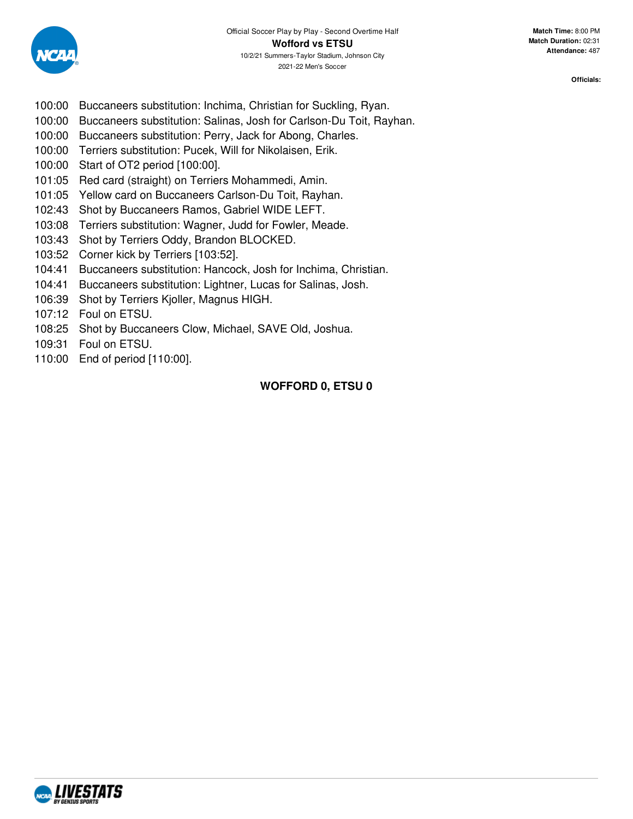

- 100:00 Buccaneers substitution: Inchima, Christian for Suckling, Ryan.
- 100:00 Buccaneers substitution: Salinas, Josh for Carlson-Du Toit, Rayhan.
- 100:00 Buccaneers substitution: Perry, Jack for Abong, Charles.
- 100:00 Terriers substitution: Pucek, Will for Nikolaisen, Erik.
- 100:00 Start of OT2 period [100:00].
- 101:05 Red card (straight) on Terriers Mohammedi, Amin.
- 101:05 Yellow card on Buccaneers Carlson-Du Toit, Rayhan.
- 102:43 Shot by Buccaneers Ramos, Gabriel WIDE LEFT.
- 103:08 Terriers substitution: Wagner, Judd for Fowler, Meade.
- 103:43 Shot by Terriers Oddy, Brandon BLOCKED.
- 103:52 Corner kick by Terriers [103:52].
- 104:41 Buccaneers substitution: Hancock, Josh for Inchima, Christian.
- 104:41 Buccaneers substitution: Lightner, Lucas for Salinas, Josh.
- 106:39 Shot by Terriers Kjoller, Magnus HIGH.
- 107:12 Foul on ETSU.
- 108:25 Shot by Buccaneers Clow, Michael, SAVE Old, Joshua.
- 109:31 Foul on ETSU.
- 110:00 End of period [110:00].

### **WOFFORD 0, ETSU 0**

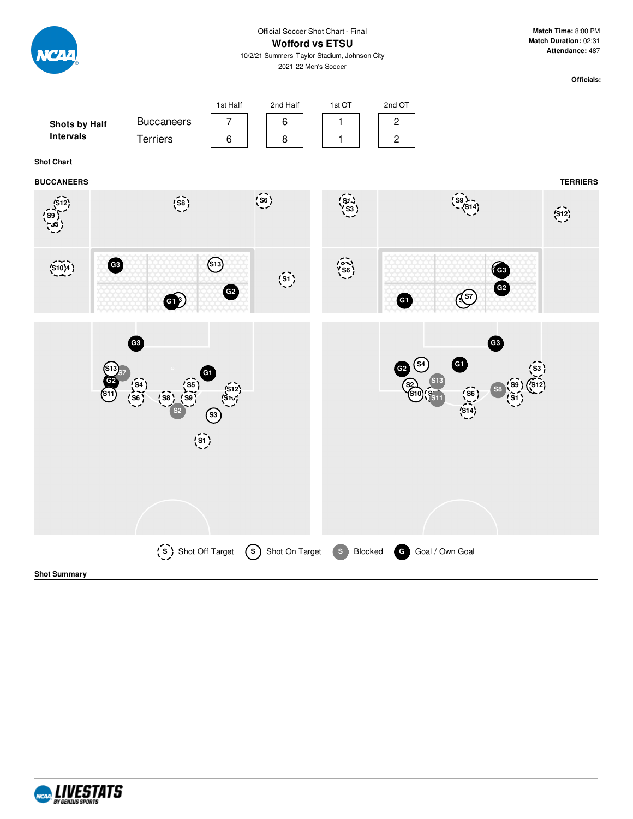|                                   |                                   |                                                                    | Match Time: 8:00 PM<br>Official Soccer Shot Chart - Final<br>Match Duration: 02:31<br><b>Wofford vs ETSU</b><br>Attendance: 487<br>10/2/21 Summers-Taylor Stadium, Johnson City<br>2021-22 Men's Soccer |                                                          |                                            |  |
|-----------------------------------|-----------------------------------|--------------------------------------------------------------------|---------------------------------------------------------------------------------------------------------------------------------------------------------------------------------------------------------|----------------------------------------------------------|--------------------------------------------|--|
| Shots by Half<br><b>Intervals</b> | <b>Buccaneers</b><br>Terriers     | 1st Half<br>2nd Half<br>$\overline{7}$<br>6<br>$\,6$<br>8          | 1st OT<br>$\mathbf{1}$<br>$\mathbf{1}$                                                                                                                                                                  | 2nd OT<br>$\overline{c}$<br>$\overline{c}$               | Officials:                                 |  |
| <b>Shot Chart</b>                 |                                   |                                                                    |                                                                                                                                                                                                         |                                                          |                                            |  |
| <b>BUCCANEERS</b>                 | $\binom{58}{ }$                   | $\widetilde{\left( \frac{6}{56}\right)}$                           | $\binom{91}{53}$                                                                                                                                                                                        |                                                          | <b>TERRIERS</b><br>$\overline{\text{S12}}$ |  |
| (S10)4                            | G3<br>GB                          | $\bigcirc$<br>$\widehat{\left(s_1\right)}$<br>G2                   | $\begin{pmatrix} 0 & 1 \\ 5 & 0 \\ 0 & 0 \end{pmatrix}$                                                                                                                                                 | $\left(\sqrt{\frac{S}{C}}\right)$<br>G                   | G3<br>G <sub>2</sub>                       |  |
|                                   | G3<br>$\widehat{\left(51\right)}$ | $\sqrt{\frac{512}{3}}$<br>ශ                                        |                                                                                                                                                                                                         | G<br>S <sub>4</sub><br>G2<br>$\sqrt{\text{SG}}$<br>(514) | G3                                         |  |
| <b>Shot Summary</b>               |                                   | (S) Shot Off Target (S) Shot On Target S Blocked G Goal / Own Goal |                                                                                                                                                                                                         |                                                          |                                            |  |